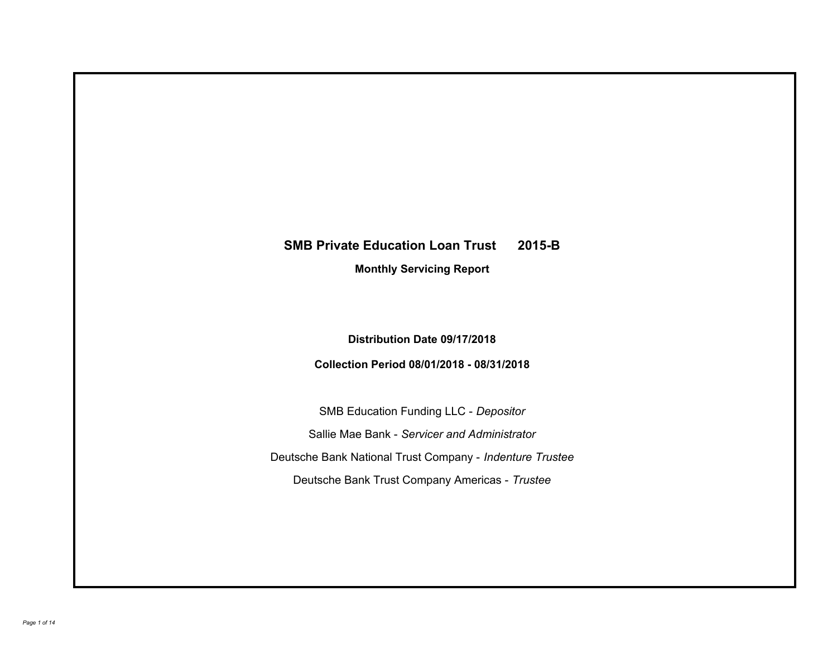# **SMB Private Education Loan Trust 2015-B**

**Monthly Servicing Report**

**Distribution Date 09/17/2018**

**Collection Period 08/01/2018 - 08/31/2018**

SMB Education Funding LLC - *Depositor* Sallie Mae Bank - *Servicer and Administrator* Deutsche Bank National Trust Company - *Indenture Trustee* Deutsche Bank Trust Company Americas - *Trustee*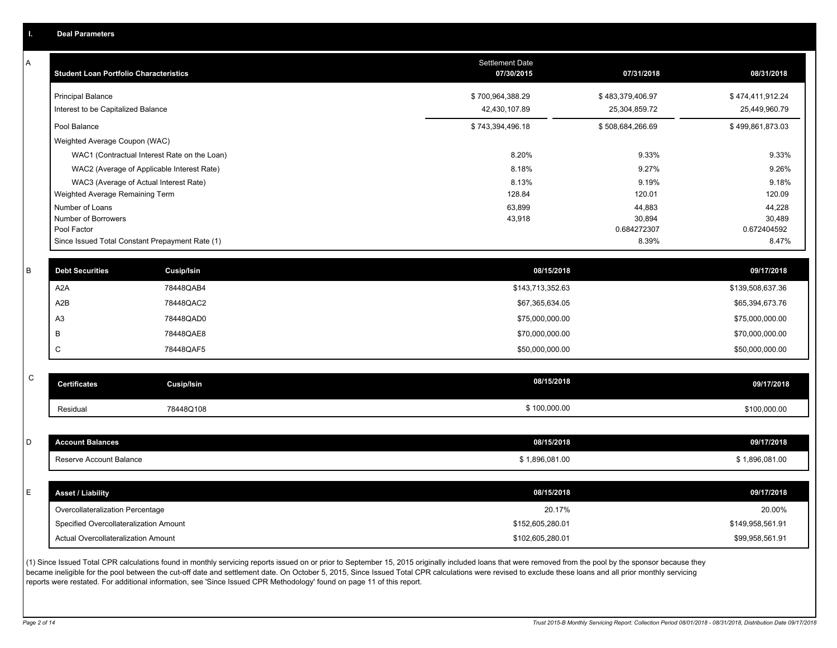|  | <b>Deal Parameters</b> |  |
|--|------------------------|--|
|  |                        |  |
|  |                        |  |

A

| <b>Student Loan Portfolio Characteristics</b>                  | <b>Settlement Date</b><br>07/30/2015 | 07/31/2018                        | 08/31/2018                        |
|----------------------------------------------------------------|--------------------------------------|-----------------------------------|-----------------------------------|
| <b>Principal Balance</b><br>Interest to be Capitalized Balance | \$700,964,388.29<br>42,430,107.89    | \$483,379,406.97<br>25,304,859.72 | \$474,411,912.24<br>25,449,960.79 |
| Pool Balance                                                   | \$743,394,496.18                     | \$508,684,266.69                  | \$499,861,873.03                  |
| Weighted Average Coupon (WAC)                                  |                                      |                                   |                                   |
| WAC1 (Contractual Interest Rate on the Loan)                   | 8.20%                                | 9.33%                             | 9.33%                             |
| WAC2 (Average of Applicable Interest Rate)                     | 8.18%                                | 9.27%                             | 9.26%                             |
| WAC3 (Average of Actual Interest Rate)                         | 8.13%                                | 9.19%                             | 9.18%                             |
| Weighted Average Remaining Term                                | 128.84                               | 120.01                            | 120.09                            |
| Number of Loans                                                | 63,899                               | 44,883                            | 44,228                            |
| Number of Borrowers                                            | 43,918                               | 30,894                            | 30,489                            |
| Pool Factor                                                    |                                      | 0.684272307                       | 0.672404592                       |
| Since Issued Total Constant Prepayment Rate (1)                |                                      | 8.39%                             | 8.47%                             |

| <b>Debt Securities</b> | <b>Cusip/Isin</b> | 08/15/2018       | 09/17/2018       |
|------------------------|-------------------|------------------|------------------|
| A <sub>2</sub> A       | 78448QAB4         | \$143,713,352.63 | \$139,508,637.36 |
| A2B                    | 78448QAC2         | \$67,365,634.05  | \$65,394,673.76  |
| A <sub>3</sub>         | 78448QAD0         | \$75,000,000.00  | \$75,000,000.00  |
|                        | 78448QAE8         | \$70,000,000.00  | \$70,000,000.00  |
|                        | 78448QAF5         | \$50,000,000.00  | \$50,000,000.00  |

| $\sim$<br>◡ | <b>Certificates</b> | Cusip/Isin | 08/15/2018   | 09/17/2018   |
|-------------|---------------------|------------|--------------|--------------|
|             | Residual            | 78448Q108  | \$100,000.00 | \$100,000.00 |

| D  | <b>Account Balances</b>          | 08/15/2018     | 09/17/2018     |
|----|----------------------------------|----------------|----------------|
|    | Reserve Account Balance          | \$1,896,081.00 | \$1,896,081.00 |
|    |                                  |                |                |
| E. | <b>Asset / Liability</b>         | 08/15/2018     | 09/17/2018     |
|    | Overcollateralization Percentage | 20.17%         | 20.00%         |
|    |                                  |                |                |

(1) Since Issued Total CPR calculations found in monthly servicing reports issued on or prior to September 15, 2015 originally included loans that were removed from the pool by the sponsor because they became ineligible for the pool between the cut-off date and settlement date. On October 5, 2015, Since Issued Total CPR calculations were revised to exclude these loans and all prior monthly servicing reports were restated. For additional information, see 'Since Issued CPR Methodology' found on page 11 of this report.

Actual Overcollateralization Amount \$102,605,280.01

\$99,958,561.91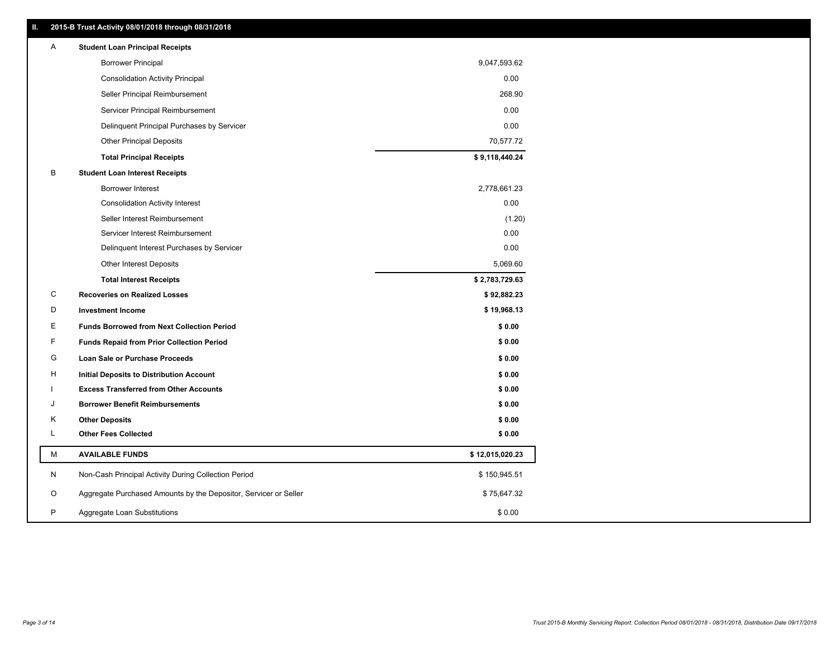| Ш. | 2015-B Trust Activity 08/01/2018 through 08/31/2018                   |                 |
|----|-----------------------------------------------------------------------|-----------------|
| A  | <b>Student Loan Principal Receipts</b>                                |                 |
|    | <b>Borrower Principal</b>                                             | 9,047,593.62    |
|    | <b>Consolidation Activity Principal</b>                               | 0.00            |
|    | Seller Principal Reimbursement                                        | 268.90          |
|    | Servicer Principal Reimbursement                                      | 0.00            |
|    | Delinquent Principal Purchases by Servicer                            | 0.00            |
|    | <b>Other Principal Deposits</b>                                       | 70,577.72       |
|    | <b>Total Principal Receipts</b>                                       | \$9,118,440.24  |
| в  | <b>Student Loan Interest Receipts</b>                                 |                 |
|    | Borrower Interest                                                     | 2,778,661.23    |
|    | <b>Consolidation Activity Interest</b>                                | 0.00            |
|    | Seller Interest Reimbursement                                         | (1.20)          |
|    | Servicer Interest Reimbursement                                       | 0.00            |
|    | Delinquent Interest Purchases by Servicer                             | 0.00            |
|    | <b>Other Interest Deposits</b>                                        | 5,069.60        |
|    | <b>Total Interest Receipts</b>                                        | \$2,783,729.63  |
| C  | <b>Recoveries on Realized Losses</b>                                  | \$92,882.23     |
| D  | <b>Investment Income</b>                                              | \$19,968.13     |
| Е  | <b>Funds Borrowed from Next Collection Period</b>                     | \$0.00          |
| F  | <b>Funds Repaid from Prior Collection Period</b>                      | \$0.00          |
|    | G<br>Loan Sale or Purchase Proceeds                                   | \$0.00          |
| н  | <b>Initial Deposits to Distribution Account</b>                       | \$0.00          |
|    | <b>Excess Transferred from Other Accounts</b>                         | \$0.00          |
| J  | <b>Borrower Benefit Reimbursements</b>                                | \$0.00          |
|    | Κ<br><b>Other Deposits</b>                                            | \$0.00          |
| L  | <b>Other Fees Collected</b>                                           | \$0.00          |
|    | M<br><b>AVAILABLE FUNDS</b>                                           | \$12,015,020.23 |
| N  | Non-Cash Principal Activity During Collection Period                  | \$150,945.51    |
|    | Aggregate Purchased Amounts by the Depositor, Servicer or Seller<br>O | \$75,647.32     |
| P  | Aggregate Loan Substitutions                                          | \$0.00          |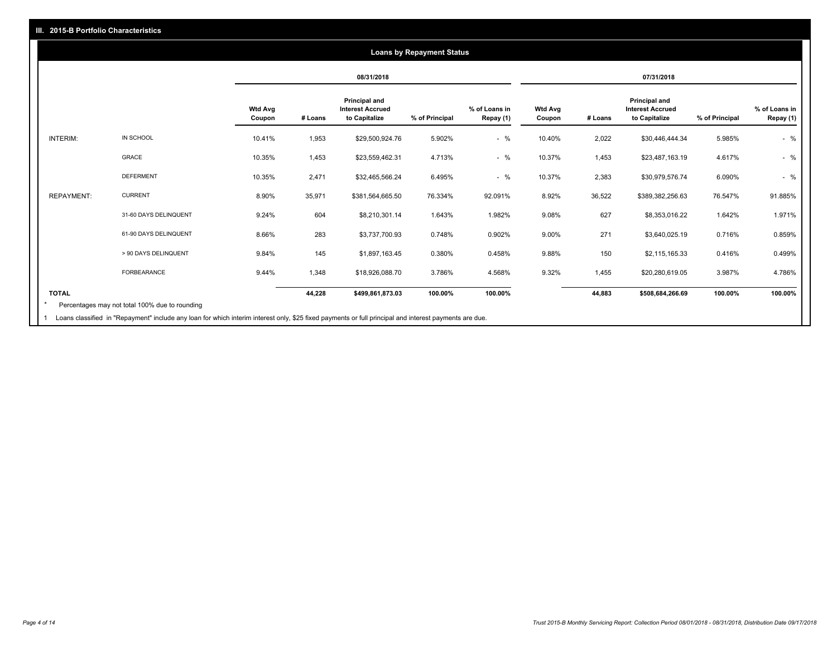### **08/31/2018 07/31/2018 Wtd Avg Coupon # Loans Principal and Interest Accrued to Capitalize % of Principal % of Loans in Repay (1) Wtd Avg Coupon # Loans Principal and Interest Accrued to Capitalize % of Principal % of Loans in Repay (1)**  INTERIM: IN SCHOOL 10.41% 1,953 \$29,500,924.76 5.902% - % 10.40% 2,022 \$30,446,444.34 5.985% - % GRACE 10.35% 1,453 \$23,559,462.31 4.713% - % 10.37% 1,453 \$23,487,163.19 4.617% - % DEFERMENT 10.35% 2,471 \$32,465,566.24 6.495% - % 10.37% 2,383 \$30,979,576.74 6.090% - % REPAYMENT: CURRENT 8.90% 35,971 \$381,564,665.50 76.334% 92.091% 8.92% 36,522 \$389,382,256.63 76.547% 91.885% 31-60 DAYS DELINQUENT 9.24% 604 \$8,210,301.14 1.643% 1.982% 9.08% 627 \$8,353,016.22 1.642% 1.971% 61-90 DAYS DELINQUENT 8.66% 283 \$3,737,700.93 0.748% 0.902% 9.00% 271 \$3,640,025.19 0.716% 0.859% > 90 DAYS DELINQUENT 9.84% 145 \$1,897,163.45 0.380% 0.458% 9.88% 150 \$2,115,165.33 0.416% 0.499% FORBEARANCE 9.44% 1,348 \$18,926,088.70 3.786% 4.568% 9.32% 1,455 \$20,280,619.05 3.987% 4.786% **TOTAL 44,228 \$499,861,873.03 100.00% 100.00% 44,883 \$508,684,266.69 100.00% 100.00% Loans by Repayment Status** Percentages may not total 100% due to rounding \*

Loans classified in "Repayment" include any loan for which interim interest only, \$25 fixed payments or full principal and interest payments are due. 1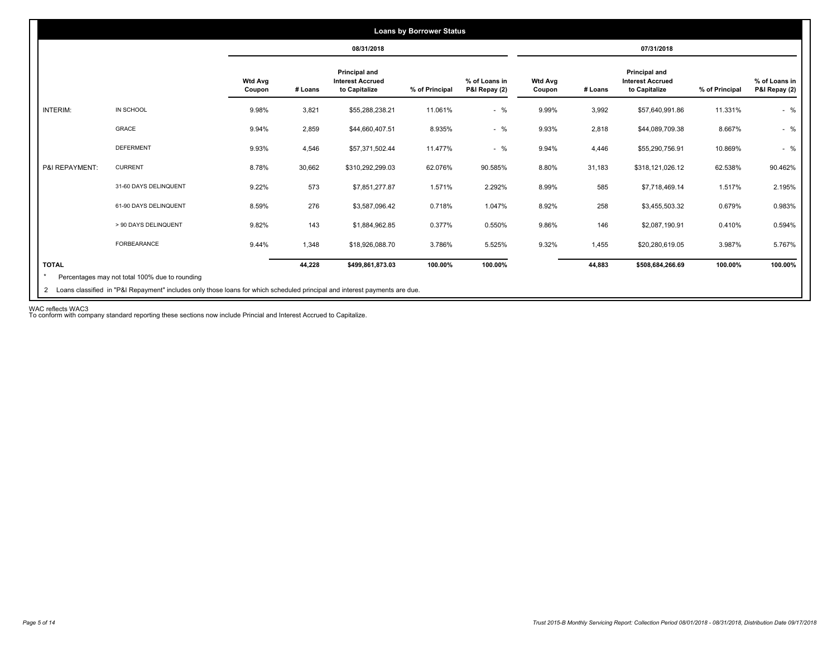|                |                       |                          |         | 08/31/2018                                                       |                |                                |                          |         | 07/31/2018                                                |                |                                |
|----------------|-----------------------|--------------------------|---------|------------------------------------------------------------------|----------------|--------------------------------|--------------------------|---------|-----------------------------------------------------------|----------------|--------------------------------|
|                |                       | <b>Wtd Avg</b><br>Coupon | # Loans | <b>Principal and</b><br><b>Interest Accrued</b><br>to Capitalize | % of Principal | % of Loans in<br>P&I Repay (2) | <b>Wtd Avg</b><br>Coupon | # Loans | Principal and<br><b>Interest Accrued</b><br>to Capitalize | % of Principal | % of Loans in<br>P&I Repay (2) |
| INTERIM:       | IN SCHOOL             | 9.98%                    | 3,821   | \$55,288,238.21                                                  | 11.061%        | $-$ %                          | 9.99%                    | 3,992   | \$57,640,991.86                                           | 11.331%        | $-$ %                          |
|                | <b>GRACE</b>          | 9.94%                    | 2,859   | \$44,660,407.51                                                  | 8.935%         | $-$ %                          | 9.93%                    | 2,818   | \$44,089,709.38                                           | 8.667%         | $-$ %                          |
|                | <b>DEFERMENT</b>      | 9.93%                    | 4,546   | \$57,371,502.44                                                  | 11.477%        | $-$ %                          | 9.94%                    | 4,446   | \$55,290,756.91                                           | 10.869%        | $-$ %                          |
| P&I REPAYMENT: | <b>CURRENT</b>        | 8.78%                    | 30,662  | \$310,292,299.03                                                 | 62.076%        | 90.585%                        | 8.80%                    | 31,183  | \$318,121,026.12                                          | 62.538%        | 90.462%                        |
|                | 31-60 DAYS DELINQUENT | 9.22%                    | 573     | \$7,851,277.87                                                   | 1.571%         | 2.292%                         | 8.99%                    | 585     | \$7,718,469.14                                            | 1.517%         | 2.195%                         |
|                | 61-90 DAYS DELINQUENT | 8.59%                    | 276     | \$3,587,096.42                                                   | 0.718%         | 1.047%                         | 8.92%                    | 258     | \$3,455,503.32                                            | 0.679%         | 0.983%                         |
|                | > 90 DAYS DELINQUENT  | 9.82%                    | 143     | \$1,884,962.85                                                   | 0.377%         | 0.550%                         | 9.86%                    | 146     | \$2,087,190.91                                            | 0.410%         | 0.594%                         |
|                | <b>FORBEARANCE</b>    | 9.44%                    | 1,348   | \$18,926,088.70                                                  | 3.786%         | 5.525%                         | 9.32%                    | 1,455   | \$20,280,619.05                                           | 3.987%         | 5.767%                         |
| <b>TOTAL</b>   |                       |                          | 44,228  | \$499,861,873.03                                                 | 100.00%        | 100.00%                        |                          | 44,883  | \$508,684,266.69                                          | 100.00%        | 100.00%                        |

WAC reflects WAC3 To conform with company standard reporting these sections now include Princial and Interest Accrued to Capitalize.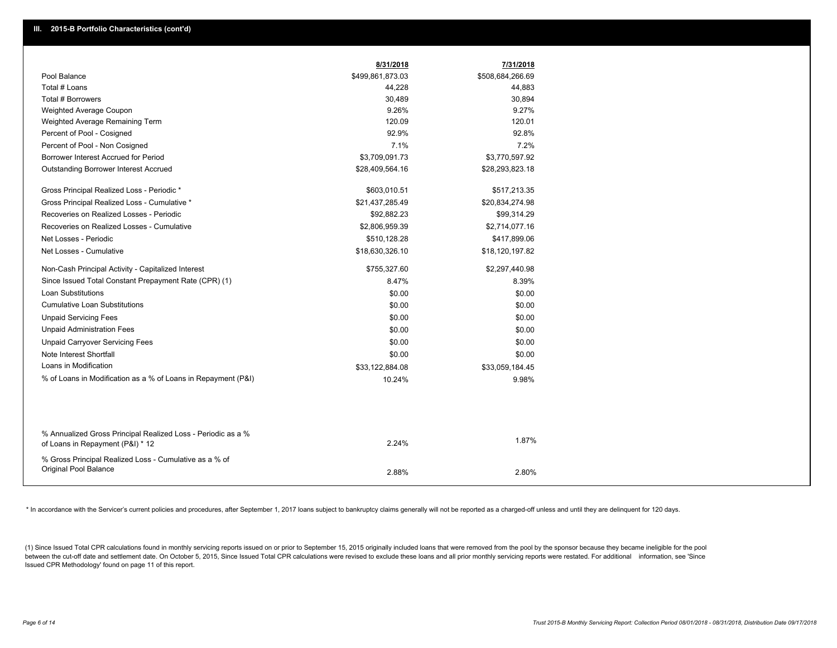|                                                                                                  | 8/31/2018        | 7/31/2018        |
|--------------------------------------------------------------------------------------------------|------------------|------------------|
| Pool Balance                                                                                     | \$499,861,873.03 | \$508,684,266.69 |
| Total # Loans                                                                                    | 44,228           | 44,883           |
| Total # Borrowers                                                                                | 30,489           | 30,894           |
| Weighted Average Coupon                                                                          | 9.26%            | 9.27%            |
| Weighted Average Remaining Term                                                                  | 120.09           | 120.01           |
| Percent of Pool - Cosigned                                                                       | 92.9%            | 92.8%            |
| Percent of Pool - Non Cosigned                                                                   | 7.1%             | 7.2%             |
| Borrower Interest Accrued for Period                                                             | \$3,709,091.73   | \$3,770,597.92   |
| Outstanding Borrower Interest Accrued                                                            | \$28,409,564.16  | \$28,293,823.18  |
| Gross Principal Realized Loss - Periodic *                                                       | \$603,010.51     | \$517,213.35     |
| Gross Principal Realized Loss - Cumulative *                                                     | \$21,437,285.49  | \$20,834,274.98  |
| Recoveries on Realized Losses - Periodic                                                         | \$92,882.23      | \$99,314.29      |
| Recoveries on Realized Losses - Cumulative                                                       | \$2,806,959.39   | \$2,714,077.16   |
| Net Losses - Periodic                                                                            | \$510,128.28     | \$417,899.06     |
| Net Losses - Cumulative                                                                          | \$18,630,326.10  | \$18,120,197.82  |
| Non-Cash Principal Activity - Capitalized Interest                                               | \$755,327.60     | \$2,297,440.98   |
| Since Issued Total Constant Prepayment Rate (CPR) (1)                                            | 8.47%            | 8.39%            |
| <b>Loan Substitutions</b>                                                                        | \$0.00           | \$0.00           |
| <b>Cumulative Loan Substitutions</b>                                                             | \$0.00           | \$0.00           |
| <b>Unpaid Servicing Fees</b>                                                                     | \$0.00           | \$0.00           |
| <b>Unpaid Administration Fees</b>                                                                | \$0.00           | \$0.00           |
| <b>Unpaid Carryover Servicing Fees</b>                                                           | \$0.00           | \$0.00           |
| Note Interest Shortfall                                                                          | \$0.00           | \$0.00           |
| Loans in Modification                                                                            | \$33,122,884.08  | \$33,059,184.45  |
| % of Loans in Modification as a % of Loans in Repayment (P&I)                                    | 10.24%           | 9.98%            |
|                                                                                                  |                  |                  |
| % Annualized Gross Principal Realized Loss - Periodic as a %<br>of Loans in Repayment (P&I) * 12 | 2.24%            | 1.87%            |
| % Gross Principal Realized Loss - Cumulative as a % of<br><b>Original Pool Balance</b>           | 2.88%            | 2.80%            |

\* In accordance with the Servicer's current policies and procedures, after September 1, 2017 loans subject to bankruptcy claims generally will not be reported as a charged-off unless and until they are delinguent for 120 d

(1) Since Issued Total CPR calculations found in monthly servicing reports issued on or prior to September 15, 2015 originally included loans that were removed from the pool by the sponsor because they became ineligible fo between the cut-off date and settlement date. On October 5, 2015, Since Issued Total CPR calculations were revised to exclude these loans and all prior monthly servicing reports were restated. For additional information, s Issued CPR Methodology' found on page 11 of this report.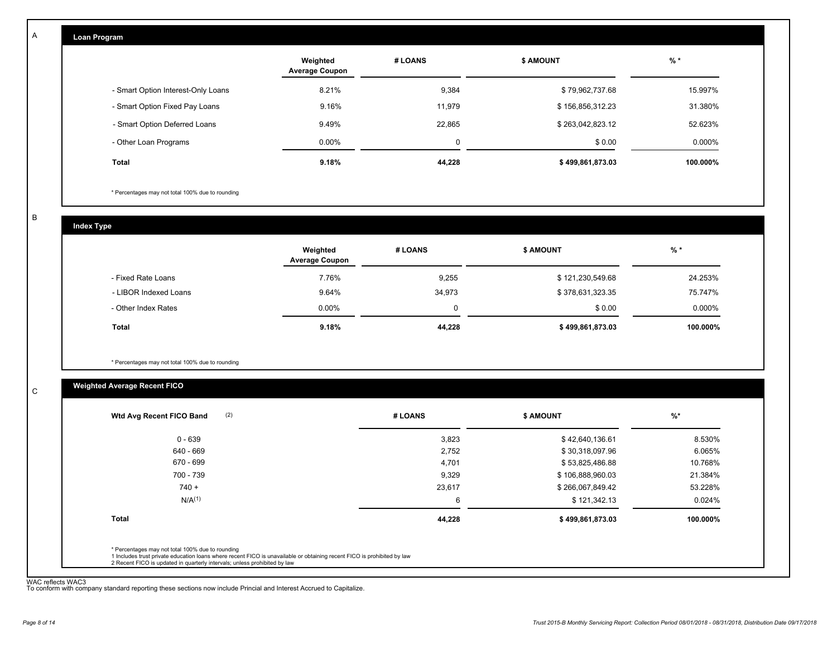| Loan Program                       |                                   |             |                  |          |  |  |  |  |
|------------------------------------|-----------------------------------|-------------|------------------|----------|--|--|--|--|
|                                    | Weighted<br><b>Average Coupon</b> | # LOANS     | <b>\$ AMOUNT</b> | $%$ *    |  |  |  |  |
| - Smart Option Interest-Only Loans | 8.21%                             | 9,384       | \$79,962,737.68  | 15.997%  |  |  |  |  |
| - Smart Option Fixed Pay Loans     | 9.16%                             | 11,979      | \$156,856,312.23 | 31.380%  |  |  |  |  |
| - Smart Option Deferred Loans      | 9.49%                             | 22,865      | \$263,042,823.12 | 52.623%  |  |  |  |  |
| - Other Loan Programs              | 0.00%                             | $\mathbf 0$ | \$0.00           | 0.000%   |  |  |  |  |
| Total                              | 9.18%                             | 44,228      | \$499,861,873.03 | 100.000% |  |  |  |  |

\* Percentages may not total 100% due to rounding

B

C

A

**Index Type**

|                       | Weighted<br><b>Average Coupon</b> | # LOANS | <b>\$ AMOUNT</b> | $%$ *     |
|-----------------------|-----------------------------------|---------|------------------|-----------|
| - Fixed Rate Loans    | 7.76%                             | 9,255   | \$121,230,549.68 | 24.253%   |
| - LIBOR Indexed Loans | 9.64%                             | 34,973  | \$378,631,323.35 | 75.747%   |
| - Other Index Rates   | 0.00%                             | 0       | \$0.00           | $0.000\%$ |
| <b>Total</b>          | 9.18%                             | 44,228  | \$499,861,873.03 | 100.000%  |

\* Percentages may not total 100% due to rounding

# **Weighted Average Recent FICO**

| $0 - 639$<br>640 - 669 | 3,823  | \$42,640,136.61  | 8.530%   |
|------------------------|--------|------------------|----------|
|                        |        |                  |          |
|                        | 2,752  | \$30,318,097.96  | 6.065%   |
| 670 - 699              | 4,701  | \$53,825,486.88  | 10.768%  |
| 700 - 739              | 9,329  | \$106,888,960.03 | 21.384%  |
| $740 +$                | 23,617 | \$266,067,849.42 | 53.228%  |
| N/A <sup>(1)</sup>     | 6      | \$121,342.13     | 0.024%   |
| <b>Total</b>           | 44,228 | \$499,861,873.03 | 100.000% |

WAC reflects WAC3 To conform with company standard reporting these sections now include Princial and Interest Accrued to Capitalize.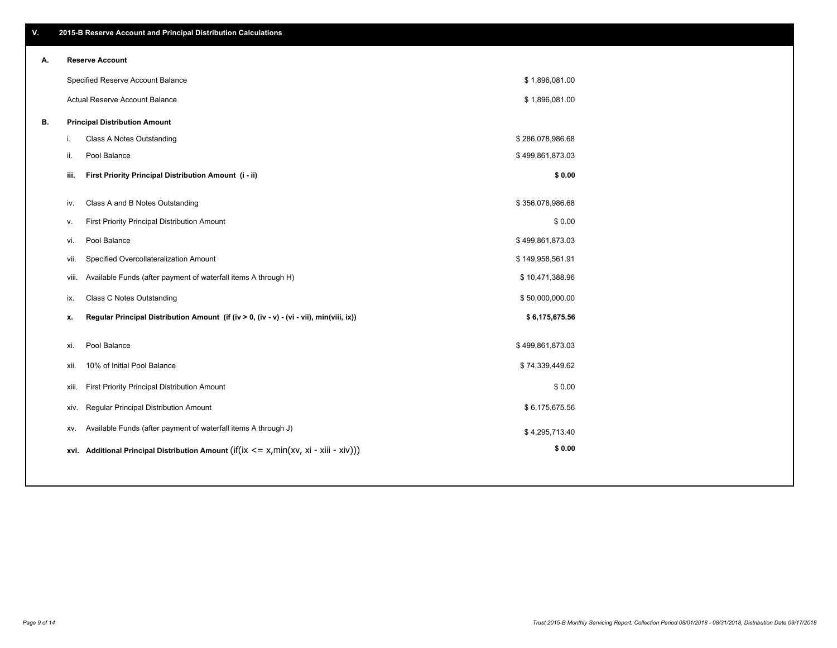| 9 of 14 |  |  |
|---------|--|--|

|  | 2015-B Reserve Account and Principal Distribution Calculations |
|--|----------------------------------------------------------------|
|  |                                                                |
|  |                                                                |

| А. |       | <b>Reserve Account</b>                                                                     |                  |  |
|----|-------|--------------------------------------------------------------------------------------------|------------------|--|
|    |       | Specified Reserve Account Balance                                                          | \$1,896,081.00   |  |
|    |       | Actual Reserve Account Balance                                                             | \$1,896,081.00   |  |
| В. |       | <b>Principal Distribution Amount</b>                                                       |                  |  |
|    | л.    | Class A Notes Outstanding                                                                  | \$286,078,986.68 |  |
|    | ii.   | Pool Balance                                                                               | \$499,861,873.03 |  |
|    | iii.  | First Priority Principal Distribution Amount (i - ii)                                      | \$0.00           |  |
|    | iv.   | Class A and B Notes Outstanding                                                            | \$356,078,986.68 |  |
|    | v.    | First Priority Principal Distribution Amount                                               | \$0.00           |  |
|    | vi.   | Pool Balance                                                                               | \$499,861,873.03 |  |
|    | vii.  | Specified Overcollateralization Amount                                                     | \$149,958,561.91 |  |
|    | viii. | Available Funds (after payment of waterfall items A through H)                             | \$10,471,388.96  |  |
|    | ix.   | Class C Notes Outstanding                                                                  | \$50,000,000.00  |  |
|    | х.    | Regular Principal Distribution Amount (if (iv > 0, (iv - v) - (vi - vii), min(viii, ix))   | \$6,175,675.56   |  |
|    | xi.   | Pool Balance                                                                               | \$499,861,873.03 |  |
|    | xii.  | 10% of Initial Pool Balance                                                                | \$74,339,449.62  |  |
|    | xiii. | First Priority Principal Distribution Amount                                               | \$0.00           |  |
|    | XIV.  | Regular Principal Distribution Amount                                                      | \$6,175,675.56   |  |
|    | XV.   | Available Funds (after payment of waterfall items A through J)                             | \$4,295,713.40   |  |
|    |       | xvi. Additional Principal Distribution Amount (if(ix $\lt$ = x, min(xv, xi - xiii - xiv))) | \$0.00           |  |
|    |       |                                                                                            |                  |  |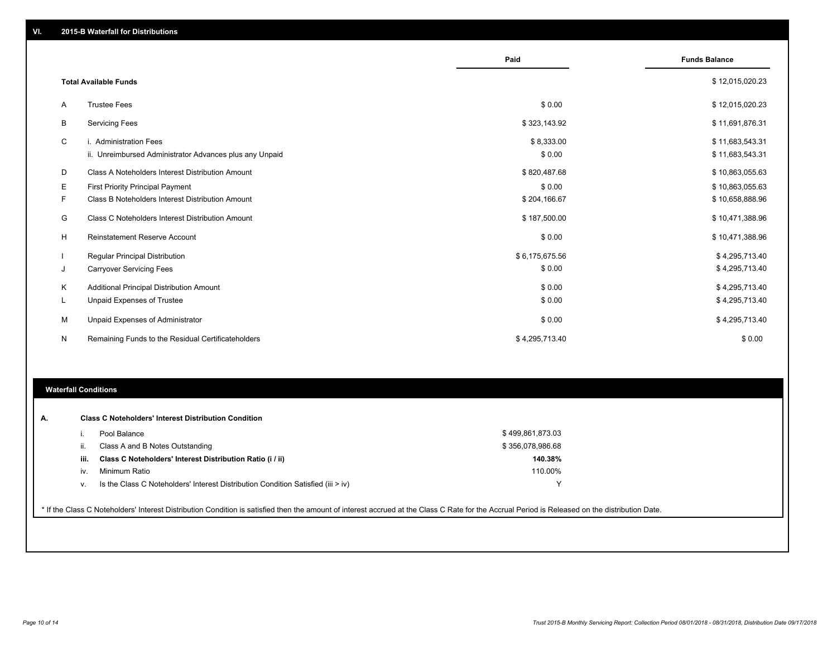|    |                                                                                   | Paid                 | <b>Funds Balance</b>               |
|----|-----------------------------------------------------------------------------------|----------------------|------------------------------------|
|    | <b>Total Available Funds</b>                                                      |                      | \$12,015,020.23                    |
| A  | <b>Trustee Fees</b>                                                               | \$0.00               | \$12,015,020.23                    |
| B  | <b>Servicing Fees</b>                                                             | \$323,143.92         | \$11,691,876.31                    |
| C  | i. Administration Fees<br>ii. Unreimbursed Administrator Advances plus any Unpaid | \$8,333.00<br>\$0.00 | \$11,683,543.31<br>\$11,683,543.31 |
| D  | Class A Noteholders Interest Distribution Amount                                  | \$820,487.68         | \$10,863,055.63                    |
| Е  | <b>First Priority Principal Payment</b>                                           | \$0.00               | \$10,863,055.63                    |
| F. | Class B Noteholders Interest Distribution Amount                                  | \$204,166.67         | \$10,658,888.96                    |
| G  | Class C Noteholders Interest Distribution Amount                                  | \$187,500.00         | \$10,471,388.96                    |
| H  | <b>Reinstatement Reserve Account</b>                                              | \$0.00               | \$10,471,388.96                    |
|    | Regular Principal Distribution                                                    | \$6,175,675.56       | \$4,295,713.40                     |
| J  | <b>Carryover Servicing Fees</b>                                                   | \$0.00               | \$4,295,713.40                     |
| Κ  | Additional Principal Distribution Amount                                          | \$0.00               | \$4,295,713.40                     |
| L. | Unpaid Expenses of Trustee                                                        | \$0.00               | \$4,295,713.40                     |
| M  | Unpaid Expenses of Administrator                                                  | \$0.00               | \$4,295,713.40                     |
| N  | Remaining Funds to the Residual Certificateholders                                | \$4,295,713.40       | \$0.00                             |

### **Waterfall Conditions**

| А.   | <b>Class C Noteholders' Interest Distribution Condition</b>                      |                  |
|------|----------------------------------------------------------------------------------|------------------|
|      | Pool Balance                                                                     | \$499,861,873.03 |
| Ш.   | Class A and B Notes Outstanding                                                  | \$356,078,986.68 |
| iii. | Class C Noteholders' Interest Distribution Ratio (i / ii)                        | 140.38%          |
| iv.  | Minimum Ratio                                                                    | 110.00%          |
| v.   | Is the Class C Noteholders' Interest Distribution Condition Satisfied (iii > iv) | ν                |

\* If the Class C Noteholders' Interest Distribution Condition is satisfied then the amount of interest accrued at the Class C Rate for the Accrual Period is Released on the distribution Date.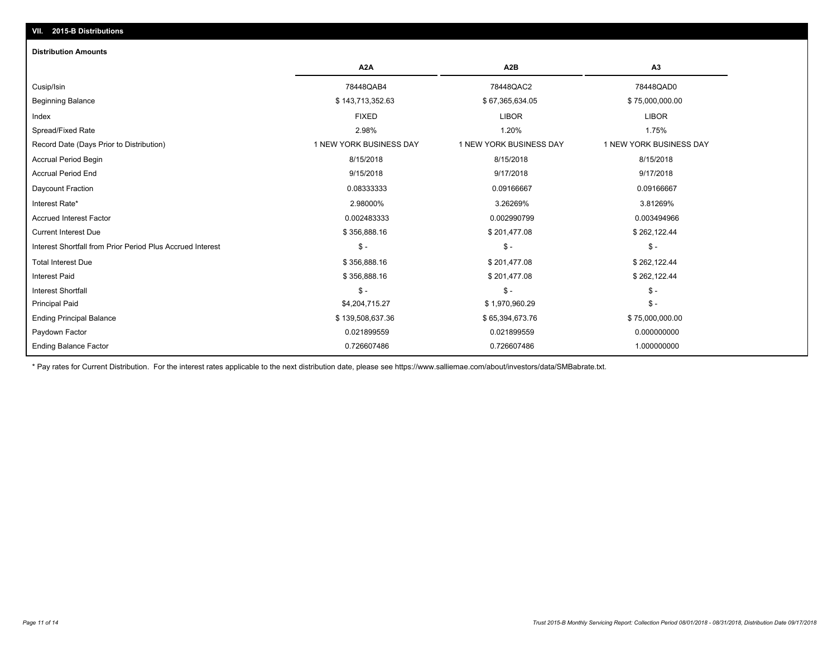# **VII. 2015-B Distributions**

#### **Distribution Amounts**

|                                                            | A <sub>2</sub> A        | A <sub>2</sub> B        | A <sub>3</sub>          |
|------------------------------------------------------------|-------------------------|-------------------------|-------------------------|
| Cusip/Isin                                                 | 78448QAB4               | 78448QAC2               | 78448QAD0               |
| <b>Beginning Balance</b>                                   | \$143,713,352.63        | \$67,365,634.05         | \$75,000,000.00         |
| Index                                                      | <b>FIXED</b>            | <b>LIBOR</b>            | <b>LIBOR</b>            |
| Spread/Fixed Rate                                          | 2.98%                   | 1.20%                   | 1.75%                   |
| Record Date (Days Prior to Distribution)                   | 1 NEW YORK BUSINESS DAY | 1 NEW YORK BUSINESS DAY | 1 NEW YORK BUSINESS DAY |
| <b>Accrual Period Begin</b>                                | 8/15/2018               | 8/15/2018               | 8/15/2018               |
| <b>Accrual Period End</b>                                  | 9/15/2018               | 9/17/2018               | 9/17/2018               |
| Daycount Fraction                                          | 0.08333333              | 0.09166667              | 0.09166667              |
| Interest Rate*                                             | 2.98000%                | 3.26269%                | 3.81269%                |
| <b>Accrued Interest Factor</b>                             | 0.002483333             | 0.002990799             | 0.003494966             |
| <b>Current Interest Due</b>                                | \$356,888.16            | \$201,477.08            | \$262,122.44            |
| Interest Shortfall from Prior Period Plus Accrued Interest | $S -$                   | $\mathsf{\$}$ -         | $\mathsf{\$}$ -         |
| <b>Total Interest Due</b>                                  | \$356,888.16            | \$201,477.08            | \$262,122.44            |
| <b>Interest Paid</b>                                       | \$356,888.16            | \$201,477.08            | \$262,122.44            |
| <b>Interest Shortfall</b>                                  | $\mathsf{\$}$ -         | \$ -                    | $\mathsf{\$}$ -         |
| <b>Principal Paid</b>                                      | \$4,204,715.27          | \$1,970,960.29          | $\mathsf{\$}$ -         |
| <b>Ending Principal Balance</b>                            | \$139,508,637.36        | \$65,394,673.76         | \$75,000,000.00         |
| Paydown Factor                                             | 0.021899559             | 0.021899559             | 0.000000000             |
| <b>Ending Balance Factor</b>                               | 0.726607486             | 0.726607486             | 1.000000000             |

\* Pay rates for Current Distribution. For the interest rates applicable to the next distribution date, please see https://www.salliemae.com/about/investors/data/SMBabrate.txt.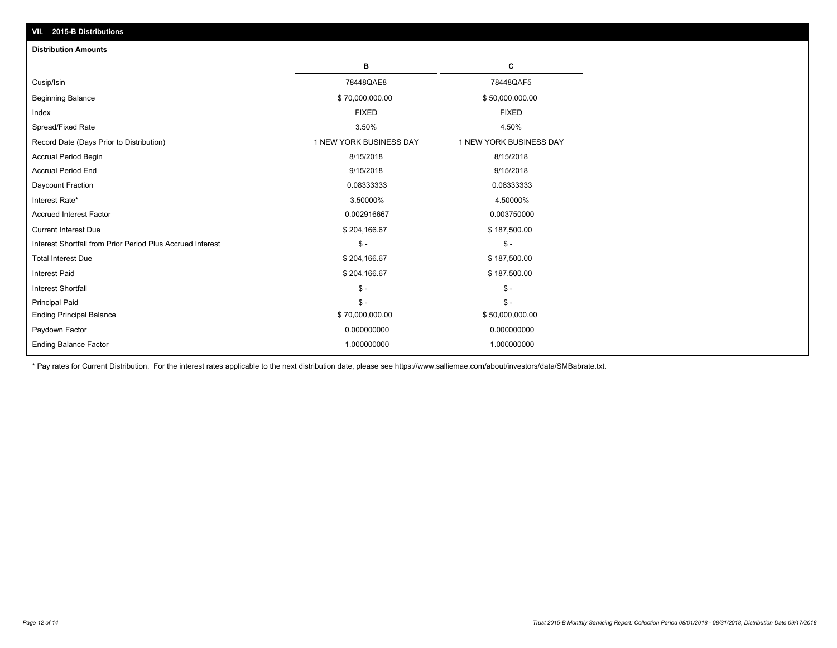| VII. 2015-B Distributions                                  |                         |                         |
|------------------------------------------------------------|-------------------------|-------------------------|
| <b>Distribution Amounts</b>                                |                         |                         |
|                                                            | в                       | C                       |
| Cusip/Isin                                                 | 78448QAE8               | 78448QAF5               |
| <b>Beginning Balance</b>                                   | \$70,000,000.00         | \$50,000,000.00         |
| Index                                                      | <b>FIXED</b>            | <b>FIXED</b>            |
| Spread/Fixed Rate                                          | 3.50%                   | 4.50%                   |
| Record Date (Days Prior to Distribution)                   | 1 NEW YORK BUSINESS DAY | 1 NEW YORK BUSINESS DAY |
| Accrual Period Begin                                       | 8/15/2018               | 8/15/2018               |
| <b>Accrual Period End</b>                                  | 9/15/2018               | 9/15/2018               |
| Daycount Fraction                                          | 0.08333333              | 0.08333333              |
| Interest Rate*                                             | 3.50000%                | 4.50000%                |
| <b>Accrued Interest Factor</b>                             | 0.002916667             | 0.003750000             |
| <b>Current Interest Due</b>                                | \$204,166.67            | \$187,500.00            |
| Interest Shortfall from Prior Period Plus Accrued Interest | $\mathsf{\$}$ -         | $\mathsf{\$}$ -         |
| <b>Total Interest Due</b>                                  | \$204,166.67            | \$187,500.00            |
| <b>Interest Paid</b>                                       | \$204,166.67            | \$187,500.00            |
| <b>Interest Shortfall</b>                                  | $\mathsf{\$}$ -         | $S -$                   |
| <b>Principal Paid</b>                                      | $S -$                   | $S -$                   |
| <b>Ending Principal Balance</b>                            | \$70,000,000.00         | \$50,000,000.00         |
| Paydown Factor                                             | 0.000000000             | 0.000000000             |
| <b>Ending Balance Factor</b>                               | 1.000000000             | 1.000000000             |

\* Pay rates for Current Distribution. For the interest rates applicable to the next distribution date, please see https://www.salliemae.com/about/investors/data/SMBabrate.txt.